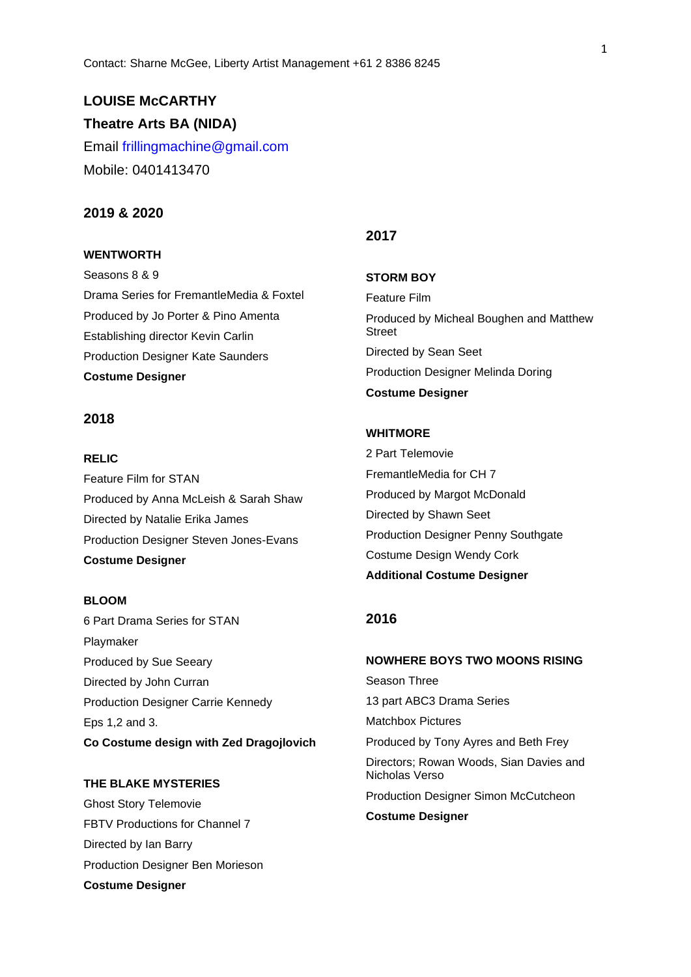# **LOUISE McCARTHY Theatre Arts BA (NIDA)**

Email frillingmachine@gmail.com Mobile: 0401413470

## **2019 & 2020**

## **WENTWORTH**

Seasons 8 & 9 Drama Series for FremantleMedia & Foxtel Produced by Jo Porter & Pino Amenta Establishing director Kevin Carlin Production Designer Kate Saunders **Costume Designer**

## **2018**

#### **RELIC**

Feature Film for STAN Produced by Anna McLeish & Sarah Shaw Directed by Natalie Erika James Production Designer Steven Jones-Evans **Costume Designer**

#### **BLOOM**

6 Part Drama Series for STAN Playmaker Produced by Sue Seeary Directed by John Curran Production Designer Carrie Kennedy Eps 1,2 and 3. **Co Costume design with Zed Dragojlovich**

## **THE BLAKE MYSTERIES**

Ghost Story Telemovie FBTV Productions for Channel 7 Directed by Ian Barry Production Designer Ben Morieson **Costume Designer**

## **2017**

**STORM BOY** Feature Film Produced by Micheal Boughen and Matthew Street Directed by Sean Seet Production Designer Melinda Doring **Costume Designer**

#### **WHITMORE**

2 Part Telemovie FremantleMedia for CH 7 Produced by Margot McDonald Directed by Shawn Seet Production Designer Penny Southgate Costume Design Wendy Cork **Additional Costume Designer**

## **2016**

**NOWHERE BOYS TWO MOONS RISING** Season Three 13 part ABC3 Drama Series Matchbox Pictures Produced by Tony Ayres and Beth Frey Directors; Rowan Woods, Sian Davies and Nicholas Verso Production Designer Simon McCutcheon **Costume Designer**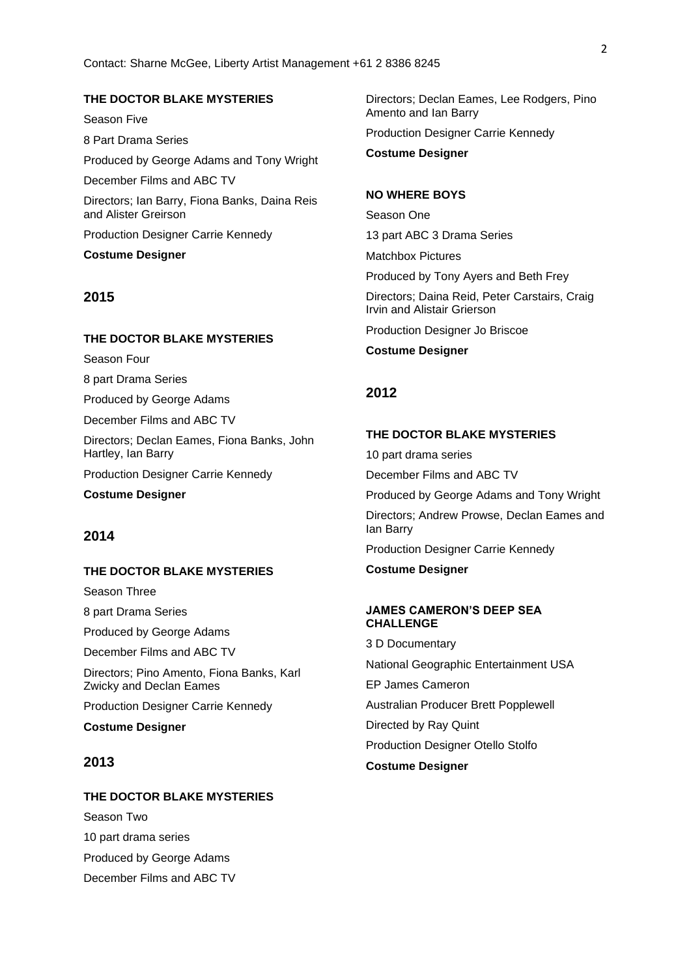## **THE DOCTOR BLAKE MYSTERIES**

Season Five 8 Part Drama Series Produced by George Adams and Tony Wright December Films and ABC TV Directors; Ian Barry, Fiona Banks, Daina Reis and Alister Greirson Production Designer Carrie Kennedy

**Costume Designer**

### **2015**

#### **THE DOCTOR BLAKE MYSTERIES**

Season Four

8 part Drama Series

Produced by George Adams

December Films and ABC TV

Directors; Declan Eames, Fiona Banks, John Hartley, Ian Barry

Production Designer Carrie Kennedy

**Costume Designer**

## **2014**

#### **THE DOCTOR BLAKE MYSTERIES**

Season Three

8 part Drama Series

Produced by George Adams

December Films and ABC TV

Directors; Pino Amento, Fiona Banks, Karl Zwicky and Declan Eames

Production Designer Carrie Kennedy

**Costume Designer**

## **2013**

#### **THE DOCTOR BLAKE MYSTERIES**

Season Two 10 part drama series Produced by George Adams December Films and ABC TV Directors; Declan Eames, Lee Rodgers, Pino Amento and Ian Barry Production Designer Carrie Kennedy

**Costume Designer**

#### **NO WHERE BOYS**

Season One 13 part ABC 3 Drama Series

Matchbox Pictures

Produced by Tony Ayers and Beth Frey

Directors; Daina Reid, Peter Carstairs, Craig Irvin and Alistair Grierson

Production Designer Jo Briscoe

**Costume Designer**

## **2012**

#### **THE DOCTOR BLAKE MYSTERIES**

10 part drama series December Films and ABC TV Produced by George Adams and Tony Wright Directors; Andrew Prowse, Declan Eames and Ian Barry Production Designer Carrie Kennedy **Costume Designer**

## **JAMES CAMERON'S DEEP SEA CHALLENGE**

3 D Documentary National Geographic Entertainment USA EP James Cameron Australian Producer Brett Popplewell Directed by Ray Quint Production Designer Otello Stolfo **Costume Designer**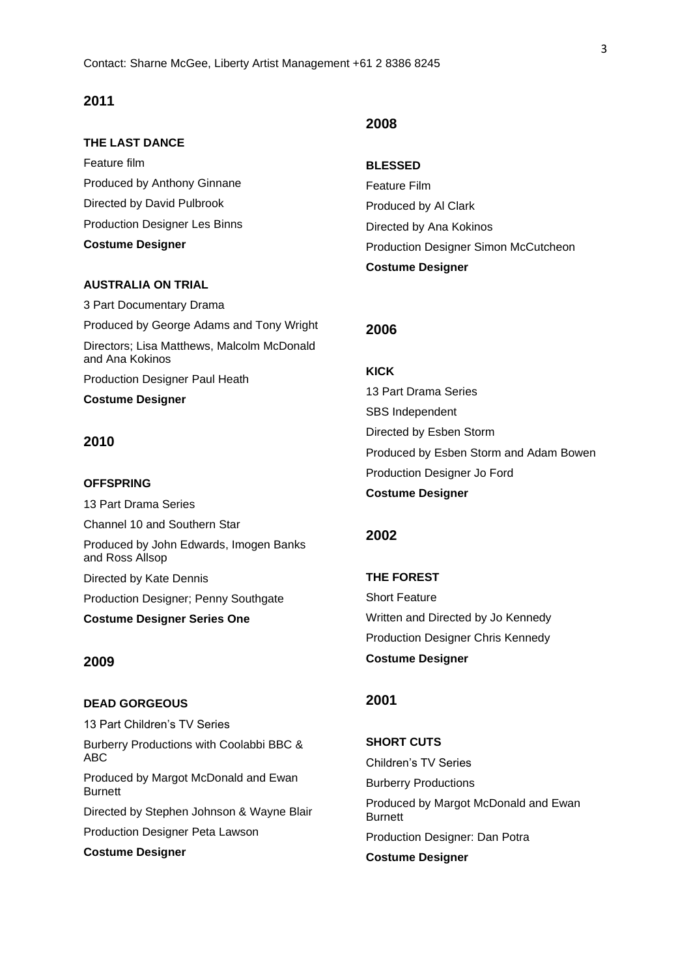## **2011**

#### **THE LAST DANCE**

Feature film Produced by Anthony Ginnane Directed by David Pulbrook Production Designer Les Binns **Costume Designer**

#### **AUSTRALIA ON TRIAL**

3 Part Documentary Drama Produced by George Adams and Tony Wright Directors; Lisa Matthews, Malcolm McDonald and Ana Kokinos Production Designer Paul Heath **Costume Designer**

# **2010**

**OFFSPRING** 13 Part Drama Series Channel 10 and Southern Star Produced by John Edwards, Imogen Banks and Ross Allsop Directed by Kate Dennis Production Designer; Penny Southgate **Costume Designer Series One**

## **2009**

# **DEAD GORGEOUS** 13 Part Children's TV Series Burberry Productions with Coolabbi BBC & ABC Produced by Margot McDonald and Ewan **Burnett**

Directed by Stephen Johnson & Wayne Blair Production Designer Peta Lawson

**Costume Designer**

## **2008**

**BLESSED** Feature Film Produced by Al Clark Directed by Ana Kokinos Production Designer Simon McCutcheon **Costume Designer**

#### **2006**

#### **KICK**

13 Part Drama Series SBS Independent Directed by Esben Storm Produced by Esben Storm and Adam Bowen Production Designer Jo Ford **Costume Designer**

## **2002**

**THE FOREST** Short Feature Written and Directed by Jo Kennedy Production Designer Chris Kennedy **Costume Designer**

## **2001**

**SHORT CUTS** Children's TV Series Burberry Productions Produced by Margot McDonald and Ewan **Burnett** Production Designer: Dan Potra **Costume Designer**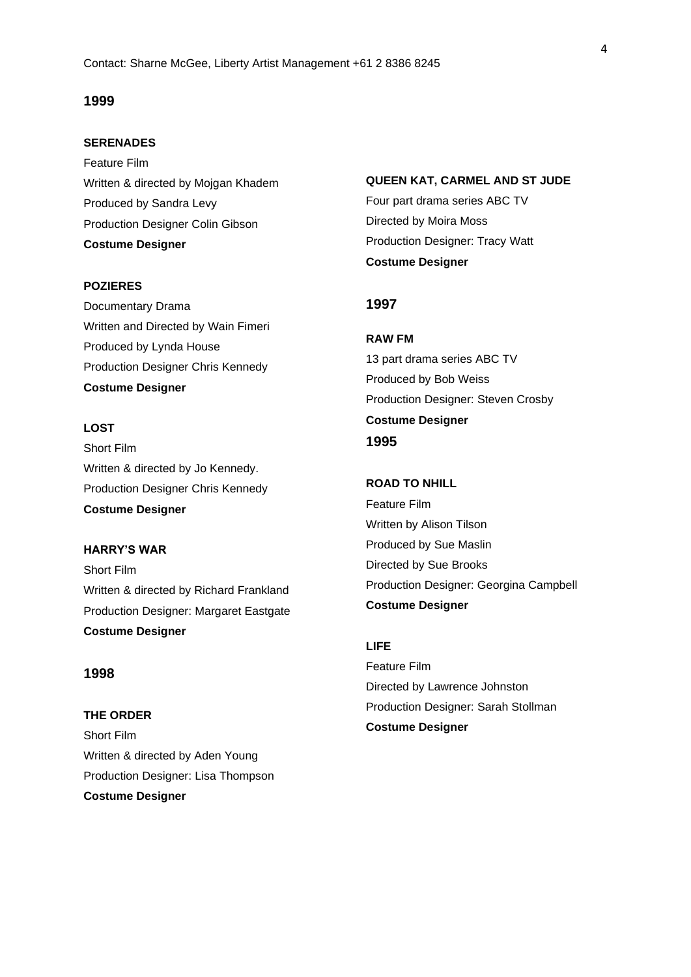## **1999**

#### **SERENADES**

Feature Film Written & directed by Mojgan Khadem Produced by Sandra Levy Production Designer Colin Gibson **Costume Designer**

#### **POZIERES**

Documentary Drama Written and Directed by Wain Fimeri Produced by Lynda House Production Designer Chris Kennedy **Costume Designer**

## **LOST**

Short Film Written & directed by Jo Kennedy. Production Designer Chris Kennedy **Costume Designer**

**HARRY'S WAR** Short Film Written & directed by Richard Frankland Production Designer: Margaret Eastgate **Costume Designer**

## **1998**

**THE ORDER** Short Film Written & directed by Aden Young Production Designer: Lisa Thompson **Costume Designer**

**QUEEN KAT, CARMEL AND ST JUDE**

Four part drama series ABC TV Directed by Moira Moss Production Designer: Tracy Watt **Costume Designer**

## **1997**

**RAW FM** 13 part drama series ABC TV Produced by Bob Weiss Production Designer: Steven Crosby **Costume Designer 1995**

# **ROAD TO NHILL**

Feature Film Written by Alison Tilson Produced by Sue Maslin Directed by Sue Brooks Production Designer: Georgina Campbell **Costume Designer**

## **LIFE**

Feature Film Directed by Lawrence Johnston Production Designer: Sarah Stollman **Costume Designer**